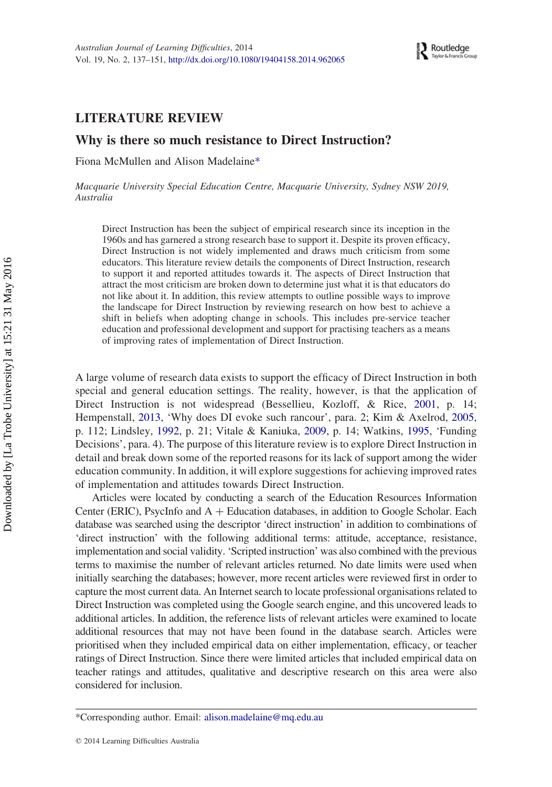# LITERATURE REVIEW

## Why is there so much resistance to Direct Instruction?

Fiona McMullen and Alison Madelaine\*

Macquarie University Special Education Centre, Macquarie University, Sydney NSW 2019, Australia

Direct Instruction has been the subject of empirical research since its inception in the 1960s and has garnered a strong research base to support it. Despite its proven efficacy, Direct Instruction is not widely implemented and draws much criticism from some educators. This literature review details the components of Direct Instruction, research to support it and reported attitudes towards it. The aspects of Direct Instruction that attract the most criticism are broken down to determine just what it is that educators do not like about it. In addition, this review attempts to outline possible ways to improve the landscape for Direct Instruction by reviewing research on how best to achieve a shift in beliefs when adopting change in schools. This includes pre-service teacher education and professional development and support for practising teachers as a means of improving rates of implementation of Direct Instruction.

A large volume of research data exists to support the efficacy of Direct Instruction in both special and general education settings. The reality, however, is that the application of Direct Instruction is not widespread (Bessellieu, Kozloff, & Rice, [2001,](#page-13-0) p. 14; Hempenstall, [2013,](#page-14-0) 'Why does DI evoke such rancour', para. 2; Kim & Axelrod, [2005](#page-14-0), p. 112; Lindsley, [1992](#page-14-0), p. 21; Vitale & Kaniuka, [2009,](#page-14-0) p. 14; Watkins, [1995,](#page-14-0) 'Funding Decisions', para. 4). The purpose of this literature review is to explore Direct Instruction in detail and break down some of the reported reasons for its lack of support among the wider education community. In addition, it will explore suggestions for achieving improved rates of implementation and attitudes towards Direct Instruction.

Articles were located by conducting a search of the Education Resources Information Center (ERIC), PsycInfo and A *þ* Education databases, in addition to Google Scholar. Each database was searched using the descriptor 'direct instruction' in addition to combinations of 'direct instruction' with the following additional terms: attitude, acceptance, resistance, implementation and social validity. 'Scripted instruction' was also combined with the previous terms to maximise the number of relevant articles returned. No date limits were used when initially searching the databases; however, more recent articles were reviewed first in order to capture the most current data. An Internet search to locate professional organisations related to Direct Instruction was completed using the Google search engine, and this uncovered leads to additional articles. In addition, the reference lists of relevant articles were examined to locate additional resources that may not have been found in the database search. Articles were prioritised when they included empirical data on either implementation, efficacy, or teacher ratings of Direct Instruction. Since there were limited articles that included empirical data on teacher ratings and attitudes, qualitative and descriptive research on this area were also considered for inclusion.

<sup>\*</sup>Corresponding author. Email: [alison.madelaine@mq.edu.au](mailto:alison.madelaine@mq.edu.au)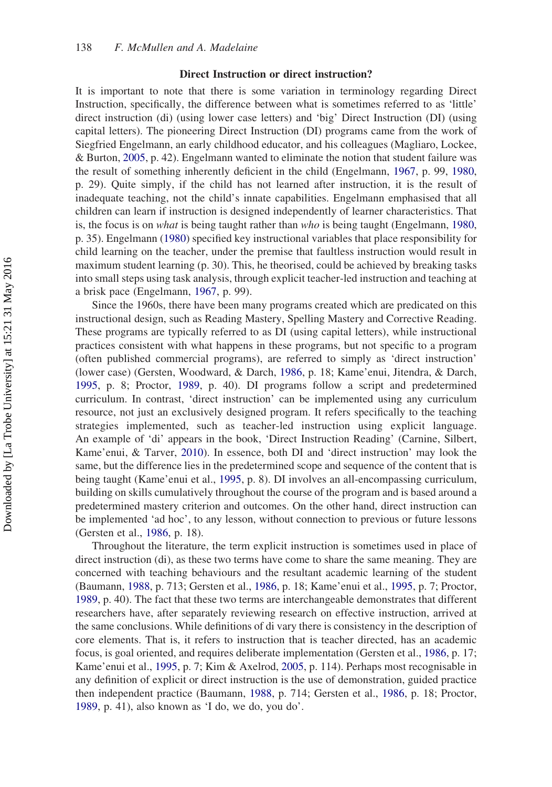### Direct Instruction or direct instruction?

It is important to note that there is some variation in terminology regarding Direct Instruction, specifically, the difference between what is sometimes referred to as 'little' direct instruction (di) (using lower case letters) and 'big' Direct Instruction (DI) (using capital letters). The pioneering Direct Instruction (DI) programs came from the work of Siegfried Engelmann, an early childhood educator, and his colleagues (Magliaro, Lockee, & Burton, [2005,](#page-14-0) p. 42). Engelmann wanted to eliminate the notion that student failure was the result of something inherently deficient in the child (Engelmann, [1967](#page-13-0), p. 99, [1980](#page-13-0), p. 29). Quite simply, if the child has not learned after instruction, it is the result of inadequate teaching, not the child's innate capabilities. Engelmann emphasised that all children can learn if instruction is designed independently of learner characteristics. That is, the focus is on what is being taught rather than who is being taught (Engelmann, [1980](#page-13-0), p. 35). Engelmann [\(1980](#page-13-0)) specified key instructional variables that place responsibility for child learning on the teacher, under the premise that faultless instruction would result in maximum student learning (p. 30). This, he theorised, could be achieved by breaking tasks into small steps using task analysis, through explicit teacher-led instruction and teaching at a brisk pace (Engelmann, [1967](#page-13-0), p. 99).

Since the 1960s, there have been many programs created which are predicated on this instructional design, such as Reading Mastery, Spelling Mastery and Corrective Reading. These programs are typically referred to as DI (using capital letters), while instructional practices consistent with what happens in these programs, but not specific to a program (often published commercial programs), are referred to simply as 'direct instruction' (lower case) (Gersten, Woodward, & Darch, [1986,](#page-13-0) p. 18; Kame'enui, Jitendra, & Darch, [1995](#page-14-0), p. 8; Proctor, [1989](#page-14-0), p. 40). DI programs follow a script and predetermined curriculum. In contrast, 'direct instruction' can be implemented using any curriculum resource, not just an exclusively designed program. It refers specifically to the teaching strategies implemented, such as teacher-led instruction using explicit language. An example of 'di' appears in the book, 'Direct Instruction Reading' (Carnine, Silbert, Kame'enui, & Tarver, [2010\)](#page-13-0). In essence, both DI and 'direct instruction' may look the same, but the difference lies in the predetermined scope and sequence of the content that is being taught (Kame'enui et al., [1995,](#page-14-0) p. 8). DI involves an all-encompassing curriculum, building on skills cumulatively throughout the course of the program and is based around a predetermined mastery criterion and outcomes. On the other hand, direct instruction can be implemented 'ad hoc', to any lesson, without connection to previous or future lessons (Gersten et al., [1986](#page-13-0), p. 18).

Throughout the literature, the term explicit instruction is sometimes used in place of direct instruction (di), as these two terms have come to share the same meaning. They are concerned with teaching behaviours and the resultant academic learning of the student (Baumann, [1988,](#page-13-0) p. 713; Gersten et al., [1986](#page-13-0), p. 18; Kame'enui et al., [1995,](#page-14-0) p. 7; Proctor, [1989](#page-14-0), p. 40). The fact that these two terms are interchangeable demonstrates that different researchers have, after separately reviewing research on effective instruction, arrived at the same conclusions. While definitions of di vary there is consistency in the description of core elements. That is, it refers to instruction that is teacher directed, has an academic focus, is goal oriented, and requires deliberate implementation (Gersten et al., [1986,](#page-13-0) p. 17; Kame'enui et al., [1995](#page-14-0), p. 7; Kim & Axelrod, [2005](#page-14-0), p. 114). Perhaps most recognisable in any definition of explicit or direct instruction is the use of demonstration, guided practice then independent practice (Baumann, [1988,](#page-13-0) p. 714; Gersten et al., [1986](#page-13-0), p. 18; Proctor, [1989](#page-14-0), p. 41), also known as 'I do, we do, you do'.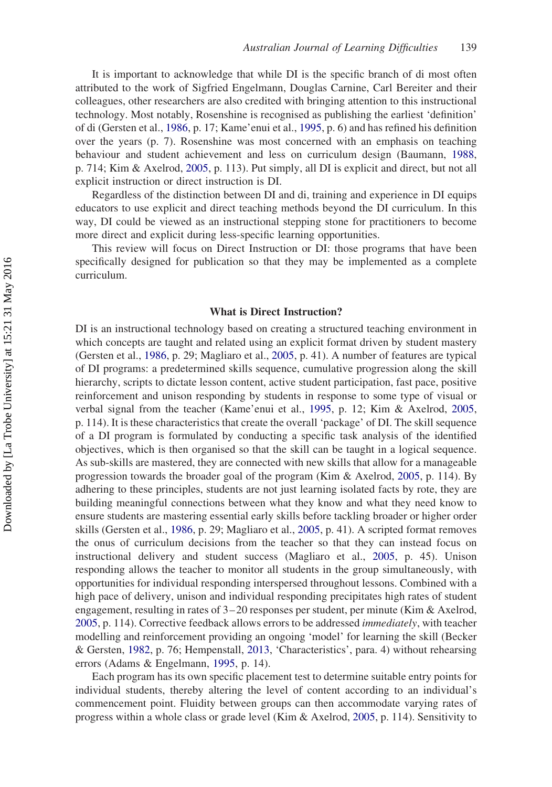It is important to acknowledge that while DI is the specific branch of di most often attributed to the work of Sigfried Engelmann, Douglas Carnine, Carl Bereiter and their colleagues, other researchers are also credited with bringing attention to this instructional technology. Most notably, Rosenshine is recognised as publishing the earliest 'definition' of di (Gersten et al., [1986,](#page-13-0) p. 17; Kame'enui et al., [1995](#page-14-0), p. 6) and has refined his definition over the years (p. 7). Rosenshine was most concerned with an emphasis on teaching behaviour and student achievement and less on curriculum design (Baumann, [1988](#page-13-0), p. 714; Kim & Axelrod, [2005](#page-14-0), p. 113). Put simply, all DI is explicit and direct, but not all explicit instruction or direct instruction is DI.

Regardless of the distinction between DI and di, training and experience in DI equips educators to use explicit and direct teaching methods beyond the DI curriculum. In this way, DI could be viewed as an instructional stepping stone for practitioners to become more direct and explicit during less-specific learning opportunities.

This review will focus on Direct Instruction or DI: those programs that have been specifically designed for publication so that they may be implemented as a complete curriculum.

### What is Direct Instruction?

DI is an instructional technology based on creating a structured teaching environment in which concepts are taught and related using an explicit format driven by student mastery (Gersten et al., [1986,](#page-13-0) p. 29; Magliaro et al., [2005,](#page-14-0) p. 41). A number of features are typical of DI programs: a predetermined skills sequence, cumulative progression along the skill hierarchy, scripts to dictate lesson content, active student participation, fast pace, positive reinforcement and unison responding by students in response to some type of visual or verbal signal from the teacher (Kame'enui et al., [1995](#page-14-0), p. 12; Kim & Axelrod, [2005](#page-14-0), p. 114). It is these characteristics that create the overall 'package' of DI. The skill sequence of a DI program is formulated by conducting a specific task analysis of the identified objectives, which is then organised so that the skill can be taught in a logical sequence. As sub-skills are mastered, they are connected with new skills that allow for a manageable progression towards the broader goal of the program (Kim & Axelrod, [2005](#page-14-0), p. 114). By adhering to these principles, students are not just learning isolated facts by rote, they are building meaningful connections between what they know and what they need know to ensure students are mastering essential early skills before tackling broader or higher order skills (Gersten et al., [1986](#page-13-0), p. 29; Magliaro et al., [2005,](#page-14-0) p. 41). A scripted format removes the onus of curriculum decisions from the teacher so that they can instead focus on instructional delivery and student success (Magliaro et al., [2005,](#page-14-0) p. 45). Unison responding allows the teacher to monitor all students in the group simultaneously, with opportunities for individual responding interspersed throughout lessons. Combined with a high pace of delivery, unison and individual responding precipitates high rates of student engagement, resulting in rates of  $3-20$  responses per student, per minute (Kim & Axelrod, [2005](#page-14-0), p. 114). Corrective feedback allows errors to be addressed immediately, with teacher modelling and reinforcement providing an ongoing 'model' for learning the skill (Becker & Gersten, [1982](#page-13-0), p. 76; Hempenstall, [2013,](#page-14-0) 'Characteristics', para. 4) without rehearsing errors (Adams & Engelmann, [1995](#page-13-0), p. 14).

Each program has its own specific placement test to determine suitable entry points for individual students, thereby altering the level of content according to an individual's commencement point. Fluidity between groups can then accommodate varying rates of progress within a whole class or grade level (Kim & Axelrod, [2005](#page-14-0), p. 114). Sensitivity to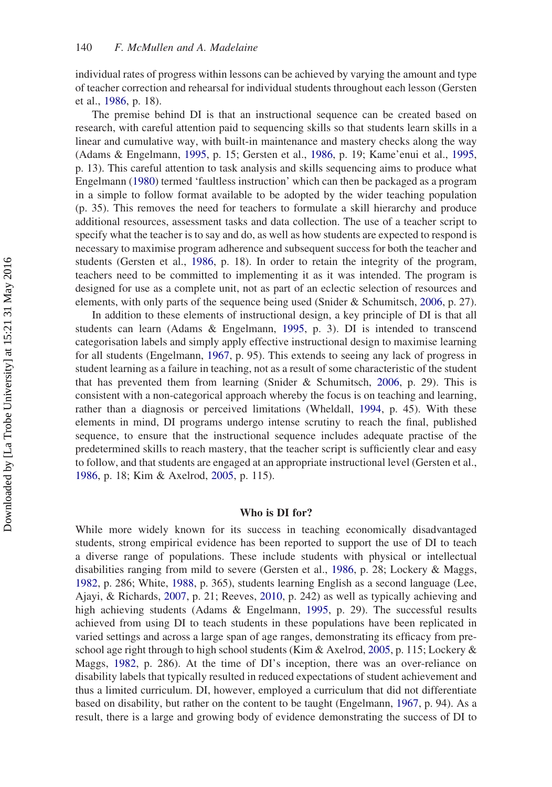individual rates of progress within lessons can be achieved by varying the amount and type of teacher correction and rehearsal for individual students throughout each lesson (Gersten et al., [1986,](#page-13-0) p. 18).

The premise behind DI is that an instructional sequence can be created based on research, with careful attention paid to sequencing skills so that students learn skills in a linear and cumulative way, with built-in maintenance and mastery checks along the way (Adams & Engelmann, [1995](#page-13-0), p. 15; Gersten et al., [1986](#page-13-0), p. 19; Kame'enui et al., [1995](#page-14-0), p. 13). This careful attention to task analysis and skills sequencing aims to produce what Engelmann [\(1980](#page-13-0)) termed 'faultless instruction' which can then be packaged as a program in a simple to follow format available to be adopted by the wider teaching population (p. 35). This removes the need for teachers to formulate a skill hierarchy and produce additional resources, assessment tasks and data collection. The use of a teacher script to specify what the teacher is to say and do, as well as how students are expected to respond is necessary to maximise program adherence and subsequent success for both the teacher and students (Gersten et al., [1986,](#page-13-0) p. 18). In order to retain the integrity of the program, teachers need to be committed to implementing it as it was intended. The program is designed for use as a complete unit, not as part of an eclectic selection of resources and elements, with only parts of the sequence being used (Snider & Schumitsch, [2006](#page-14-0), p. 27).

In addition to these elements of instructional design, a key principle of DI is that all students can learn (Adams & Engelmann, [1995,](#page-13-0) p. 3). DI is intended to transcend categorisation labels and simply apply effective instructional design to maximise learning for all students (Engelmann, [1967,](#page-13-0) p. 95). This extends to seeing any lack of progress in student learning as a failure in teaching, not as a result of some characteristic of the student that has prevented them from learning (Snider & Schumitsch, [2006,](#page-14-0) p. 29). This is consistent with a non-categorical approach whereby the focus is on teaching and learning, rather than a diagnosis or perceived limitations (Wheldall, [1994,](#page-14-0) p. 45). With these elements in mind, DI programs undergo intense scrutiny to reach the final, published sequence, to ensure that the instructional sequence includes adequate practise of the predetermined skills to reach mastery, that the teacher script is sufficiently clear and easy to follow, and that students are engaged at an appropriate instructional level (Gersten et al., [1986](#page-13-0), p. 18; Kim & Axelrod, [2005,](#page-14-0) p. 115).

### Who is DI for?

While more widely known for its success in teaching economically disadvantaged students, strong empirical evidence has been reported to support the use of DI to teach a diverse range of populations. These include students with physical or intellectual disabilities ranging from mild to severe (Gersten et al., [1986,](#page-13-0) p. 28; Lockery & Maggs, [1982](#page-14-0), p. 286; White, [1988](#page-14-0), p. 365), students learning English as a second language (Lee, Ajayi, & Richards, [2007,](#page-14-0) p. 21; Reeves, [2010](#page-14-0), p. 242) as well as typically achieving and high achieving students (Adams & Engelmann, [1995](#page-13-0), p. 29). The successful results achieved from using DI to teach students in these populations have been replicated in varied settings and across a large span of age ranges, demonstrating its efficacy from preschool age right through to high school students (Kim & Axelrod, [2005,](#page-14-0) p. 115; Lockery & Maggs, [1982](#page-14-0), p. 286). At the time of DI's inception, there was an over-reliance on disability labels that typically resulted in reduced expectations of student achievement and thus a limited curriculum. DI, however, employed a curriculum that did not differentiate based on disability, but rather on the content to be taught (Engelmann, [1967,](#page-13-0) p. 94). As a result, there is a large and growing body of evidence demonstrating the success of DI to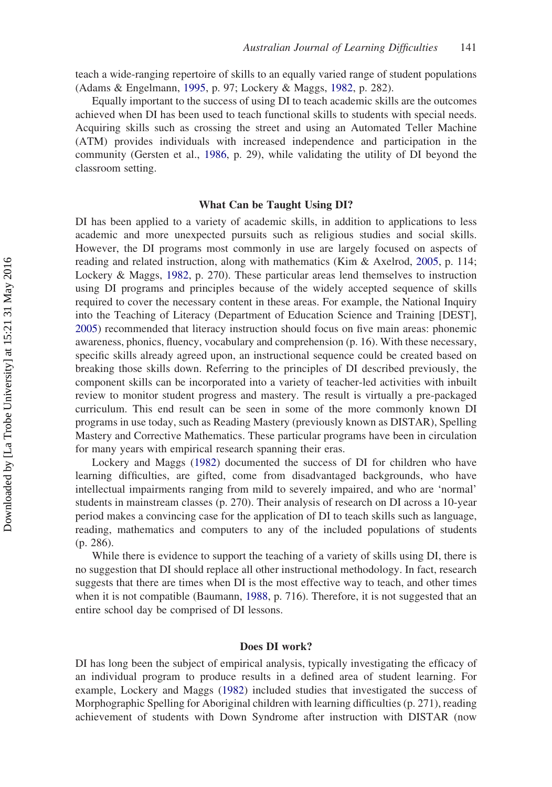teach a wide-ranging repertoire of skills to an equally varied range of student populations (Adams & Engelmann, [1995,](#page-13-0) p. 97; Lockery & Maggs, [1982](#page-14-0), p. 282).

Equally important to the success of using DI to teach academic skills are the outcomes achieved when DI has been used to teach functional skills to students with special needs. Acquiring skills such as crossing the street and using an Automated Teller Machine (ATM) provides individuals with increased independence and participation in the community (Gersten et al., [1986](#page-13-0), p. 29), while validating the utility of DI beyond the classroom setting.

### What Can be Taught Using DI?

DI has been applied to a variety of academic skills, in addition to applications to less academic and more unexpected pursuits such as religious studies and social skills. However, the DI programs most commonly in use are largely focused on aspects of reading and related instruction, along with mathematics (Kim & Axelrod, [2005,](#page-14-0) p. 114; Lockery & Maggs, [1982](#page-14-0), p. 270). These particular areas lend themselves to instruction using DI programs and principles because of the widely accepted sequence of skills required to cover the necessary content in these areas. For example, the National Inquiry into the Teaching of Literacy (Department of Education Science and Training [DEST], [2005](#page-13-0)) recommended that literacy instruction should focus on five main areas: phonemic awareness, phonics, fluency, vocabulary and comprehension (p. 16). With these necessary, specific skills already agreed upon, an instructional sequence could be created based on breaking those skills down. Referring to the principles of DI described previously, the component skills can be incorporated into a variety of teacher-led activities with inbuilt review to monitor student progress and mastery. The result is virtually a pre-packaged curriculum. This end result can be seen in some of the more commonly known DI programs in use today, such as Reading Mastery (previously known as DISTAR), Spelling Mastery and Corrective Mathematics. These particular programs have been in circulation for many years with empirical research spanning their eras.

Lockery and Maggs [\(1982](#page-14-0)) documented the success of DI for children who have learning difficulties, are gifted, come from disadvantaged backgrounds, who have intellectual impairments ranging from mild to severely impaired, and who are 'normal' students in mainstream classes (p. 270). Their analysis of research on DI across a 10-year period makes a convincing case for the application of DI to teach skills such as language, reading, mathematics and computers to any of the included populations of students (p. 286).

While there is evidence to support the teaching of a variety of skills using DI, there is no suggestion that DI should replace all other instructional methodology. In fact, research suggests that there are times when DI is the most effective way to teach, and other times when it is not compatible (Baumann, [1988](#page-13-0), p. 716). Therefore, it is not suggested that an entire school day be comprised of DI lessons.

#### Does DI work?

DI has long been the subject of empirical analysis, typically investigating the efficacy of an individual program to produce results in a defined area of student learning. For example, Lockery and Maggs [\(1982](#page-14-0)) included studies that investigated the success of Morphographic Spelling for Aboriginal children with learning difficulties (p. 271), reading achievement of students with Down Syndrome after instruction with DISTAR (now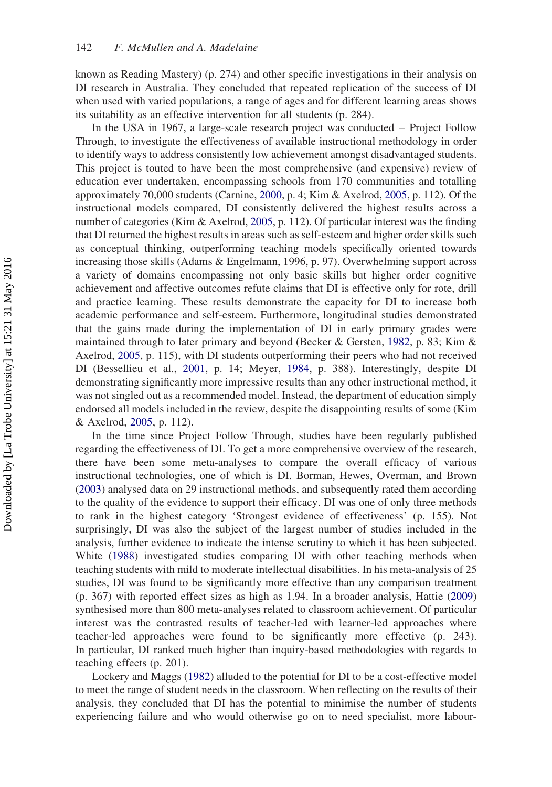known as Reading Mastery) (p. 274) and other specific investigations in their analysis on DI research in Australia. They concluded that repeated replication of the success of DI when used with varied populations, a range of ages and for different learning areas shows its suitability as an effective intervention for all students (p. 284).

In the USA in 1967, a large-scale research project was conducted – Project Follow Through, to investigate the effectiveness of available instructional methodology in order to identify ways to address consistently low achievement amongst disadvantaged students. This project is touted to have been the most comprehensive (and expensive) review of education ever undertaken, encompassing schools from 170 communities and totalling approximately 70,000 students (Carnine, [2000,](#page-13-0) p. 4; Kim & Axelrod, [2005,](#page-14-0) p. 112). Of the instructional models compared, DI consistently delivered the highest results across a number of categories (Kim & Axelrod, [2005,](#page-14-0) p. 112). Of particular interest was the finding that DI returned the highest results in areas such as self-esteem and higher order skills such as conceptual thinking, outperforming teaching models specifically oriented towards increasing those skills (Adams & Engelmann, 1996, p. 97). Overwhelming support across a variety of domains encompassing not only basic skills but higher order cognitive achievement and affective outcomes refute claims that DI is effective only for rote, drill and practice learning. These results demonstrate the capacity for DI to increase both academic performance and self-esteem. Furthermore, longitudinal studies demonstrated that the gains made during the implementation of DI in early primary grades were maintained through to later primary and beyond (Becker & Gersten, [1982](#page-13-0), p. 83; Kim & Axelrod, [2005](#page-14-0), p. 115), with DI students outperforming their peers who had not received DI (Bessellieu et al., [2001](#page-13-0), p. 14; Meyer, [1984](#page-14-0), p. 388). Interestingly, despite DI demonstrating significantly more impressive results than any other instructional method, it was not singled out as a recommended model. Instead, the department of education simply endorsed all models included in the review, despite the disappointing results of some (Kim & Axelrod, [2005](#page-14-0), p. 112).

In the time since Project Follow Through, studies have been regularly published regarding the effectiveness of DI. To get a more comprehensive overview of the research, there have been some meta-analyses to compare the overall efficacy of various instructional technologies, one of which is DI. Borman, Hewes, Overman, and Brown ([2003\)](#page-13-0) analysed data on 29 instructional methods, and subsequently rated them according to the quality of the evidence to support their efficacy. DI was one of only three methods to rank in the highest category 'Strongest evidence of effectiveness' (p. 155). Not surprisingly, DI was also the subject of the largest number of studies included in the analysis, further evidence to indicate the intense scrutiny to which it has been subjected. White [\(1988](#page-14-0)) investigated studies comparing DI with other teaching methods when teaching students with mild to moderate intellectual disabilities. In his meta-analysis of 25 studies, DI was found to be significantly more effective than any comparison treatment (p. 367) with reported effect sizes as high as 1.94. In a broader analysis, Hattie ([2009\)](#page-13-0) synthesised more than 800 meta-analyses related to classroom achievement. Of particular interest was the contrasted results of teacher-led with learner-led approaches where teacher-led approaches were found to be significantly more effective (p. 243). In particular, DI ranked much higher than inquiry-based methodologies with regards to teaching effects (p. 201).

Lockery and Maggs ([1982\)](#page-14-0) alluded to the potential for DI to be a cost-effective model to meet the range of student needs in the classroom. When reflecting on the results of their analysis, they concluded that DI has the potential to minimise the number of students experiencing failure and who would otherwise go on to need specialist, more labour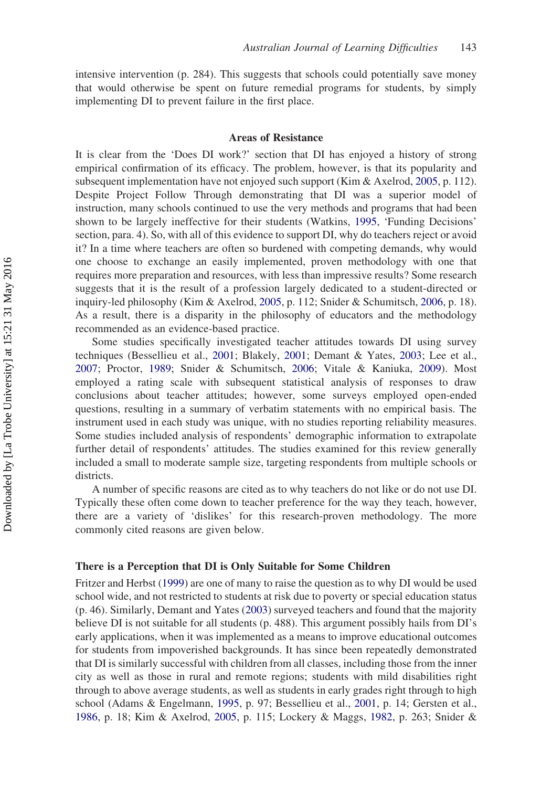intensive intervention (p. 284). This suggests that schools could potentially save money that would otherwise be spent on future remedial programs for students, by simply implementing DI to prevent failure in the first place.

## Areas of Resistance

It is clear from the 'Does DI work?' section that DI has enjoyed a history of strong empirical confirmation of its efficacy. The problem, however, is that its popularity and subsequent implementation have not enjoyed such support (Kim & Axelrod, [2005](#page-14-0), p. 112). Despite Project Follow Through demonstrating that DI was a superior model of instruction, many schools continued to use the very methods and programs that had been shown to be largely ineffective for their students (Watkins, [1995,](#page-14-0) 'Funding Decisions' section, para. 4). So, with all of this evidence to support DI, why do teachers reject or avoid it? In a time where teachers are often so burdened with competing demands, why would one choose to exchange an easily implemented, proven methodology with one that requires more preparation and resources, with less than impressive results? Some research suggests that it is the result of a profession largely dedicated to a student-directed or inquiry-led philosophy (Kim & Axelrod, [2005](#page-14-0), p. 112; Snider & Schumitsch, [2006,](#page-14-0) p. 18). As a result, there is a disparity in the philosophy of educators and the methodology recommended as an evidence-based practice.

Some studies specifically investigated teacher attitudes towards DI using survey techniques (Bessellieu et al., [2001;](#page-13-0) Blakely, [2001;](#page-13-0) Demant & Yates, [2003;](#page-13-0) Lee et al., [2007](#page-14-0); Proctor, [1989;](#page-14-0) Snider & Schumitsch, [2006;](#page-14-0) Vitale & Kaniuka, [2009](#page-14-0)). Most employed a rating scale with subsequent statistical analysis of responses to draw conclusions about teacher attitudes; however, some surveys employed open-ended questions, resulting in a summary of verbatim statements with no empirical basis. The instrument used in each study was unique, with no studies reporting reliability measures. Some studies included analysis of respondents' demographic information to extrapolate further detail of respondents' attitudes. The studies examined for this review generally included a small to moderate sample size, targeting respondents from multiple schools or districts.

A number of specific reasons are cited as to why teachers do not like or do not use DI. Typically these often come down to teacher preference for the way they teach, however, there are a variety of 'dislikes' for this research-proven methodology. The more commonly cited reasons are given below.

### There is a Perception that DI is Only Suitable for Some Children

Fritzer and Herbst ([1999\)](#page-13-0) are one of many to raise the question as to why DI would be used school wide, and not restricted to students at risk due to poverty or special education status (p. 46). Similarly, Demant and Yates [\(2003](#page-13-0)) surveyed teachers and found that the majority believe DI is not suitable for all students (p. 488). This argument possibly hails from DI's early applications, when it was implemented as a means to improve educational outcomes for students from impoverished backgrounds. It has since been repeatedly demonstrated that DI is similarly successful with children from all classes, including those from the inner city as well as those in rural and remote regions; students with mild disabilities right through to above average students, as well as students in early grades right through to high school (Adams & Engelmann, [1995,](#page-13-0) p. 97; Bessellieu et al., [2001](#page-13-0), p. 14; Gersten et al., [1986](#page-13-0), p. 18; Kim & Axelrod, [2005](#page-14-0), p. 115; Lockery & Maggs, [1982,](#page-14-0) p. 263; Snider &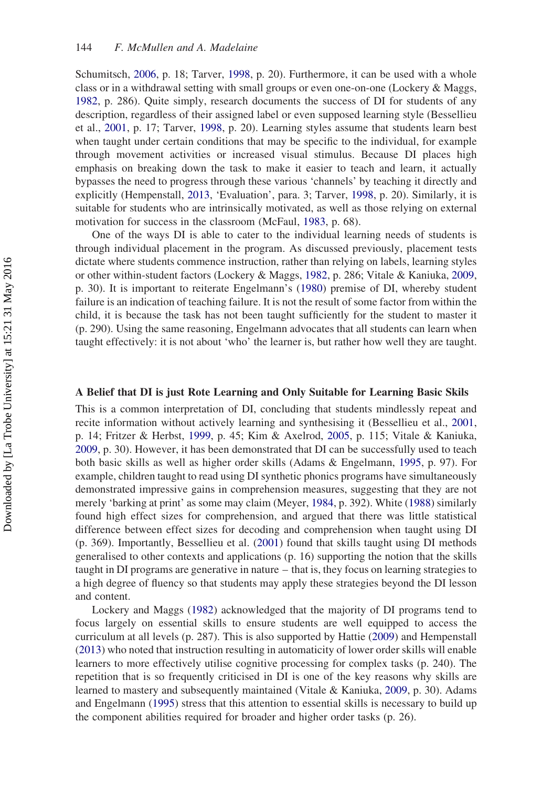Schumitsch, [2006](#page-14-0), p. 18; Tarver, [1998](#page-14-0), p. 20). Furthermore, it can be used with a whole class or in a withdrawal setting with small groups or even one-on-one (Lockery & Maggs, [1982](#page-14-0), p. 286). Quite simply, research documents the success of DI for students of any description, regardless of their assigned label or even supposed learning style (Bessellieu et al., [2001](#page-13-0), p. 17; Tarver, [1998](#page-14-0), p. 20). Learning styles assume that students learn best when taught under certain conditions that may be specific to the individual, for example through movement activities or increased visual stimulus. Because DI places high emphasis on breaking down the task to make it easier to teach and learn, it actually bypasses the need to progress through these various 'channels' by teaching it directly and explicitly (Hempenstall, [2013](#page-14-0), 'Evaluation', para. 3; Tarver, [1998,](#page-14-0) p. 20). Similarly, it is suitable for students who are intrinsically motivated, as well as those relying on external motivation for success in the classroom (McFaul, [1983,](#page-14-0) p. 68).

One of the ways DI is able to cater to the individual learning needs of students is through individual placement in the program. As discussed previously, placement tests dictate where students commence instruction, rather than relying on labels, learning styles or other within-student factors (Lockery & Maggs, [1982](#page-14-0), p. 286; Vitale & Kaniuka, [2009](#page-14-0), p. 30). It is important to reiterate Engelmann's [\(1980](#page-13-0)) premise of DI, whereby student failure is an indication of teaching failure. It is not the result of some factor from within the child, it is because the task has not been taught sufficiently for the student to master it (p. 290). Using the same reasoning, Engelmann advocates that all students can learn when taught effectively: it is not about 'who' the learner is, but rather how well they are taught.

## A Belief that DI is just Rote Learning and Only Suitable for Learning Basic Skils

This is a common interpretation of DI, concluding that students mindlessly repeat and recite information without actively learning and synthesising it (Bessellieu et al., [2001](#page-13-0), p. 14; Fritzer & Herbst, [1999](#page-13-0), p. 45; Kim & Axelrod, [2005](#page-14-0), p. 115; Vitale & Kaniuka, [2009](#page-14-0), p. 30). However, it has been demonstrated that DI can be successfully used to teach both basic skills as well as higher order skills (Adams & Engelmann, [1995](#page-13-0), p. 97). For example, children taught to read using DI synthetic phonics programs have simultaneously demonstrated impressive gains in comprehension measures, suggesting that they are not merely 'barking at print' as some may claim (Meyer, [1984](#page-14-0), p. 392). White ([1988\)](#page-14-0) similarly found high effect sizes for comprehension, and argued that there was little statistical difference between effect sizes for decoding and comprehension when taught using DI (p. 369). Importantly, Bessellieu et al. ([2001\)](#page-13-0) found that skills taught using DI methods generalised to other contexts and applications (p. 16) supporting the notion that the skills taught in DI programs are generative in nature – that is, they focus on learning strategies to a high degree of fluency so that students may apply these strategies beyond the DI lesson and content.

Lockery and Maggs ([1982\)](#page-14-0) acknowledged that the majority of DI programs tend to focus largely on essential skills to ensure students are well equipped to access the curriculum at all levels (p. 287). This is also supported by Hattie [\(2009](#page-13-0)) and Hempenstall ([2013\)](#page-14-0) who noted that instruction resulting in automaticity of lower order skills will enable learners to more effectively utilise cognitive processing for complex tasks (p. 240). The repetition that is so frequently criticised in DI is one of the key reasons why skills are learned to mastery and subsequently maintained (Vitale & Kaniuka, [2009,](#page-14-0) p. 30). Adams and Engelmann [\(1995](#page-13-0)) stress that this attention to essential skills is necessary to build up the component abilities required for broader and higher order tasks (p. 26).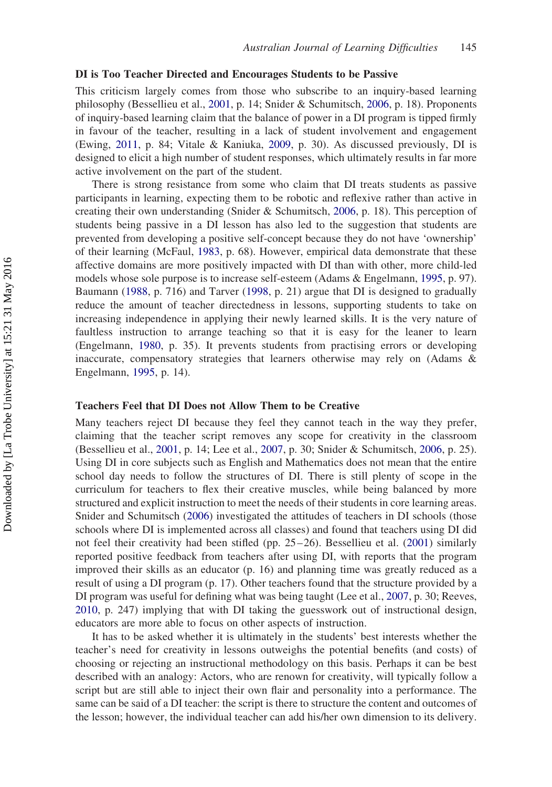### DI is Too Teacher Directed and Encourages Students to be Passive

This criticism largely comes from those who subscribe to an inquiry-based learning philosophy (Bessellieu et al., [2001](#page-13-0), p. 14; Snider & Schumitsch, [2006](#page-14-0), p. 18). Proponents of inquiry-based learning claim that the balance of power in a DI program is tipped firmly in favour of the teacher, resulting in a lack of student involvement and engagement (Ewing, [2011](#page-13-0), p. 84; Vitale & Kaniuka, [2009,](#page-14-0) p. 30). As discussed previously, DI is designed to elicit a high number of student responses, which ultimately results in far more active involvement on the part of the student.

There is strong resistance from some who claim that DI treats students as passive participants in learning, expecting them to be robotic and reflexive rather than active in creating their own understanding (Snider & Schumitsch, [2006,](#page-14-0) p. 18). This perception of students being passive in a DI lesson has also led to the suggestion that students are prevented from developing a positive self-concept because they do not have 'ownership' of their learning (McFaul, [1983](#page-14-0), p. 68). However, empirical data demonstrate that these affective domains are more positively impacted with DI than with other, more child-led models whose sole purpose is to increase self-esteem (Adams & Engelmann, [1995](#page-13-0), p. 97). Baumann ([1988,](#page-13-0) p. 716) and Tarver ([1998,](#page-14-0) p. 21) argue that DI is designed to gradually reduce the amount of teacher directedness in lessons, supporting students to take on increasing independence in applying their newly learned skills. It is the very nature of faultless instruction to arrange teaching so that it is easy for the leaner to learn (Engelmann, [1980,](#page-13-0) p. 35). It prevents students from practising errors or developing inaccurate, compensatory strategies that learners otherwise may rely on (Adams & Engelmann, [1995](#page-13-0), p. 14).

### Teachers Feel that DI Does not Allow Them to be Creative

Many teachers reject DI because they feel they cannot teach in the way they prefer, claiming that the teacher script removes any scope for creativity in the classroom (Bessellieu et al., [2001](#page-13-0), p. 14; Lee et al., [2007,](#page-14-0) p. 30; Snider & Schumitsch, [2006,](#page-14-0) p. 25). Using DI in core subjects such as English and Mathematics does not mean that the entire school day needs to follow the structures of DI. There is still plenty of scope in the curriculum for teachers to flex their creative muscles, while being balanced by more structured and explicit instruction to meet the needs of their students in core learning areas. Snider and Schumitsch ([2006\)](#page-14-0) investigated the attitudes of teachers in DI schools (those schools where DI is implemented across all classes) and found that teachers using DI did not feel their creativity had been stifled (pp. 25 –26). Bessellieu et al. [\(2001](#page-13-0)) similarly reported positive feedback from teachers after using DI, with reports that the program improved their skills as an educator (p. 16) and planning time was greatly reduced as a result of using a DI program (p. 17). Other teachers found that the structure provided by a DI program was useful for defining what was being taught (Lee et al., [2007](#page-14-0), p. 30; Reeves, [2010](#page-14-0), p. 247) implying that with DI taking the guesswork out of instructional design, educators are more able to focus on other aspects of instruction.

It has to be asked whether it is ultimately in the students' best interests whether the teacher's need for creativity in lessons outweighs the potential benefits (and costs) of choosing or rejecting an instructional methodology on this basis. Perhaps it can be best described with an analogy: Actors, who are renown for creativity, will typically follow a script but are still able to inject their own flair and personality into a performance. The same can be said of a DI teacher: the script is there to structure the content and outcomes of the lesson; however, the individual teacher can add his/her own dimension to its delivery.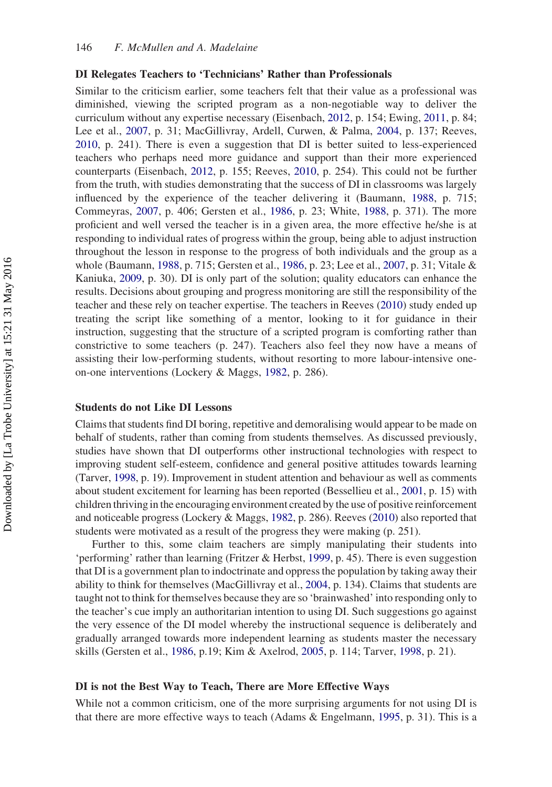### DI Relegates Teachers to 'Technicians' Rather than Professionals

Similar to the criticism earlier, some teachers felt that their value as a professional was diminished, viewing the scripted program as a non-negotiable way to deliver the curriculum without any expertise necessary (Eisenbach, [2012,](#page-13-0) p. 154; Ewing, [2011](#page-13-0), p. 84; Lee et al., [2007](#page-14-0), p. 31; MacGillivray, Ardell, Curwen, & Palma, [2004](#page-14-0), p. 137; Reeves, [2010](#page-14-0), p. 241). There is even a suggestion that DI is better suited to less-experienced teachers who perhaps need more guidance and support than their more experienced counterparts (Eisenbach, [2012](#page-13-0), p. 155; Reeves, [2010,](#page-14-0) p. 254). This could not be further from the truth, with studies demonstrating that the success of DI in classrooms was largely influenced by the experience of the teacher delivering it (Baumann, [1988,](#page-13-0) p. 715; Commeyras, [2007,](#page-13-0) p. 406; Gersten et al., [1986](#page-13-0), p. 23; White, [1988,](#page-14-0) p. 371). The more proficient and well versed the teacher is in a given area, the more effective he/she is at responding to individual rates of progress within the group, being able to adjust instruction throughout the lesson in response to the progress of both individuals and the group as a whole (Baumann, [1988](#page-13-0), p. 715; Gersten et al., [1986,](#page-13-0) p. 23; Lee et al., [2007](#page-14-0), p. 31; Vitale & Kaniuka, [2009,](#page-14-0) p. 30). DI is only part of the solution; quality educators can enhance the results. Decisions about grouping and progress monitoring are still the responsibility of the teacher and these rely on teacher expertise. The teachers in Reeves ([2010\)](#page-14-0) study ended up treating the script like something of a mentor, looking to it for guidance in their instruction, suggesting that the structure of a scripted program is comforting rather than constrictive to some teachers (p. 247). Teachers also feel they now have a means of assisting their low-performing students, without resorting to more labour-intensive oneon-one interventions (Lockery & Maggs, [1982](#page-14-0), p. 286).

### Students do not Like DI Lessons

Claims that students find DI boring, repetitive and demoralising would appear to be made on behalf of students, rather than coming from students themselves. As discussed previously, studies have shown that DI outperforms other instructional technologies with respect to improving student self-esteem, confidence and general positive attitudes towards learning (Tarver, [1998](#page-14-0), p. 19). Improvement in student attention and behaviour as well as comments about student excitement for learning has been reported (Bessellieu et al., [2001](#page-13-0), p. 15) with children thriving in the encouraging environment created by the use of positive reinforcement and noticeable progress (Lockery & Maggs, [1982,](#page-14-0) p. 286). Reeves ([2010](#page-14-0)) also reported that students were motivated as a result of the progress they were making (p. 251).

Further to this, some claim teachers are simply manipulating their students into 'performing' rather than learning (Fritzer & Herbst, [1999](#page-13-0), p. 45). There is even suggestion that DI is a government plan to indoctrinate and oppress the population by taking away their ability to think for themselves (MacGillivray et al., [2004,](#page-14-0) p. 134). Claims that students are taught not to think for themselves because they are so 'brainwashed' into responding only to the teacher's cue imply an authoritarian intention to using DI. Such suggestions go against the very essence of the DI model whereby the instructional sequence is deliberately and gradually arranged towards more independent learning as students master the necessary skills (Gersten et al., [1986,](#page-13-0) p.19; Kim & Axelrod, [2005](#page-14-0), p. 114; Tarver, [1998](#page-14-0), p. 21).

#### DI is not the Best Way to Teach, There are More Effective Ways

While not a common criticism, one of the more surprising arguments for not using DI is that there are more effective ways to teach (Adams & Engelmann, [1995,](#page-13-0) p. 31). This is a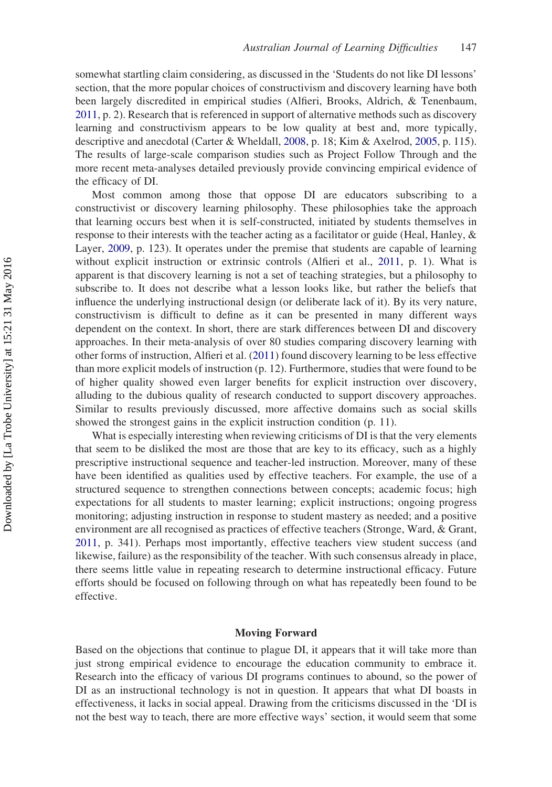somewhat startling claim considering, as discussed in the 'Students do not like DI lessons' section, that the more popular choices of constructivism and discovery learning have both been largely discredited in empirical studies (Alfieri, Brooks, Aldrich, & Tenenbaum, [2011](#page-13-0), p. 2). Research that is referenced in support of alternative methods such as discovery learning and constructivism appears to be low quality at best and, more typically, descriptive and anecdotal (Carter & Wheldall, [2008](#page-13-0), p. 18; Kim & Axelrod, [2005,](#page-14-0) p. 115). The results of large-scale comparison studies such as Project Follow Through and the more recent meta-analyses detailed previously provide convincing empirical evidence of the efficacy of DI.

Most common among those that oppose DI are educators subscribing to a constructivist or discovery learning philosophy. These philosophies take the approach that learning occurs best when it is self-constructed, initiated by students themselves in response to their interests with the teacher acting as a facilitator or guide (Heal, Hanley, & Layer, [2009](#page-13-0), p. 123). It operates under the premise that students are capable of learning without explicit instruction or extrinsic controls (Alfieri et al., [2011,](#page-13-0) p. 1). What is apparent is that discovery learning is not a set of teaching strategies, but a philosophy to subscribe to. It does not describe what a lesson looks like, but rather the beliefs that influence the underlying instructional design (or deliberate lack of it). By its very nature, constructivism is difficult to define as it can be presented in many different ways dependent on the context. In short, there are stark differences between DI and discovery approaches. In their meta-analysis of over 80 studies comparing discovery learning with other forms of instruction, Alfieri et al. ([2011\)](#page-13-0) found discovery learning to be less effective than more explicit models of instruction (p. 12). Furthermore, studies that were found to be of higher quality showed even larger benefits for explicit instruction over discovery, alluding to the dubious quality of research conducted to support discovery approaches. Similar to results previously discussed, more affective domains such as social skills showed the strongest gains in the explicit instruction condition (p. 11).

What is especially interesting when reviewing criticisms of DI is that the very elements that seem to be disliked the most are those that are key to its efficacy, such as a highly prescriptive instructional sequence and teacher-led instruction. Moreover, many of these have been identified as qualities used by effective teachers. For example, the use of a structured sequence to strengthen connections between concepts; academic focus; high expectations for all students to master learning; explicit instructions; ongoing progress monitoring; adjusting instruction in response to student mastery as needed; and a positive environment are all recognised as practices of effective teachers (Stronge, Ward, & Grant, [2011](#page-14-0), p. 341). Perhaps most importantly, effective teachers view student success (and likewise, failure) as the responsibility of the teacher. With such consensus already in place, there seems little value in repeating research to determine instructional efficacy. Future efforts should be focused on following through on what has repeatedly been found to be effective.

### Moving Forward

Based on the objections that continue to plague DI, it appears that it will take more than just strong empirical evidence to encourage the education community to embrace it. Research into the efficacy of various DI programs continues to abound, so the power of DI as an instructional technology is not in question. It appears that what DI boasts in effectiveness, it lacks in social appeal. Drawing from the criticisms discussed in the 'DI is not the best way to teach, there are more effective ways' section, it would seem that some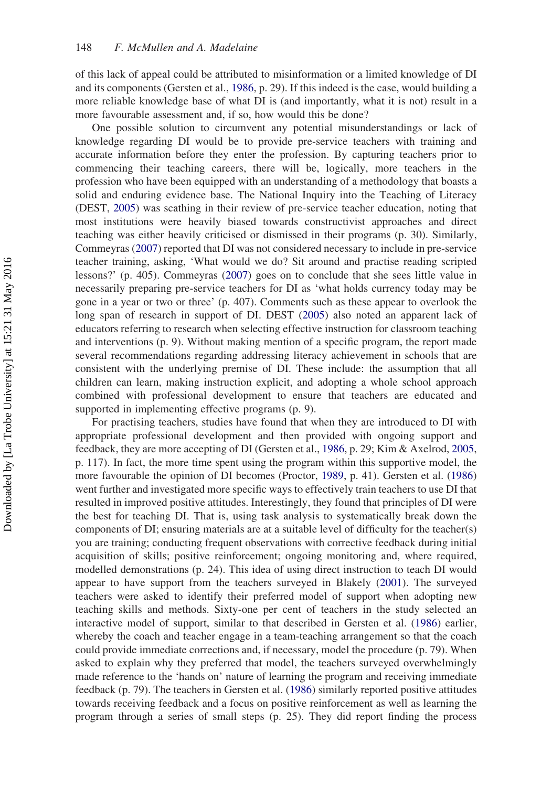of this lack of appeal could be attributed to misinformation or a limited knowledge of DI and its components (Gersten et al., [1986,](#page-13-0) p. 29). If this indeed is the case, would building a more reliable knowledge base of what DI is (and importantly, what it is not) result in a more favourable assessment and, if so, how would this be done?

One possible solution to circumvent any potential misunderstandings or lack of knowledge regarding DI would be to provide pre-service teachers with training and accurate information before they enter the profession. By capturing teachers prior to commencing their teaching careers, there will be, logically, more teachers in the profession who have been equipped with an understanding of a methodology that boasts a solid and enduring evidence base. The National Inquiry into the Teaching of Literacy (DEST, [2005](#page-13-0)) was scathing in their review of pre-service teacher education, noting that most institutions were heavily biased towards constructivist approaches and direct teaching was either heavily criticised or dismissed in their programs (p. 30). Similarly, Commeyras [\(2007\)](#page-13-0) reported that DI was not considered necessary to include in pre-service teacher training, asking, 'What would we do? Sit around and practise reading scripted lessons?' (p. 405). Commeyras [\(2007](#page-13-0)) goes on to conclude that she sees little value in necessarily preparing pre-service teachers for DI as 'what holds currency today may be gone in a year or two or three' (p. 407). Comments such as these appear to overlook the long span of research in support of DI. DEST [\(2005](#page-13-0)) also noted an apparent lack of educators referring to research when selecting effective instruction for classroom teaching and interventions (p. 9). Without making mention of a specific program, the report made several recommendations regarding addressing literacy achievement in schools that are consistent with the underlying premise of DI. These include: the assumption that all children can learn, making instruction explicit, and adopting a whole school approach combined with professional development to ensure that teachers are educated and supported in implementing effective programs (p. 9).

For practising teachers, studies have found that when they are introduced to DI with appropriate professional development and then provided with ongoing support and feedback, they are more accepting of DI (Gersten et al., [1986,](#page-13-0) p. 29; Kim & Axelrod, [2005](#page-14-0), p. 117). In fact, the more time spent using the program within this supportive model, the more favourable the opinion of DI becomes (Proctor, [1989](#page-14-0), p. 41). Gersten et al. ([1986\)](#page-13-0) went further and investigated more specific ways to effectively train teachers to use DI that resulted in improved positive attitudes. Interestingly, they found that principles of DI were the best for teaching DI. That is, using task analysis to systematically break down the components of DI; ensuring materials are at a suitable level of difficulty for the teacher(s) you are training; conducting frequent observations with corrective feedback during initial acquisition of skills; positive reinforcement; ongoing monitoring and, where required, modelled demonstrations (p. 24). This idea of using direct instruction to teach DI would appear to have support from the teachers surveyed in Blakely [\(2001](#page-13-0)). The surveyed teachers were asked to identify their preferred model of support when adopting new teaching skills and methods. Sixty-one per cent of teachers in the study selected an interactive model of support, similar to that described in Gersten et al. ([1986\)](#page-13-0) earlier, whereby the coach and teacher engage in a team-teaching arrangement so that the coach could provide immediate corrections and, if necessary, model the procedure (p. 79). When asked to explain why they preferred that model, the teachers surveyed overwhelmingly made reference to the 'hands on' nature of learning the program and receiving immediate feedback (p. 79). The teachers in Gersten et al. ([1986\)](#page-13-0) similarly reported positive attitudes towards receiving feedback and a focus on positive reinforcement as well as learning the program through a series of small steps (p. 25). They did report finding the process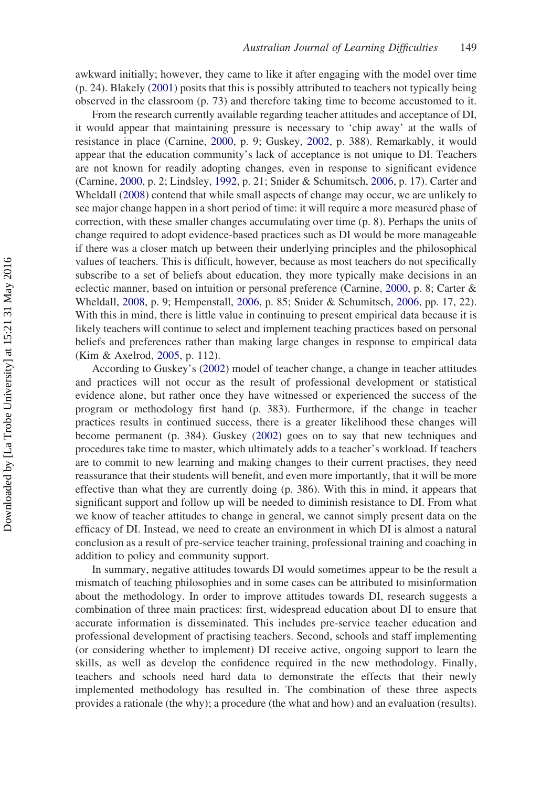awkward initially; however, they came to like it after engaging with the model over time (p. 24). Blakely [\(2001](#page-13-0)) posits that this is possibly attributed to teachers not typically being observed in the classroom (p. 73) and therefore taking time to become accustomed to it.

From the research currently available regarding teacher attitudes and acceptance of DI, it would appear that maintaining pressure is necessary to 'chip away' at the walls of resistance in place (Carnine, [2000](#page-13-0), p. 9; Guskey, [2002](#page-13-0), p. 388). Remarkably, it would appear that the education community's lack of acceptance is not unique to DI. Teachers are not known for readily adopting changes, even in response to significant evidence (Carnine, [2000](#page-13-0), p. 2; Lindsley, [1992,](#page-14-0) p. 21; Snider & Schumitsch, [2006](#page-14-0), p. 17). Carter and Wheldall ([2008\)](#page-13-0) contend that while small aspects of change may occur, we are unlikely to see major change happen in a short period of time: it will require a more measured phase of correction, with these smaller changes accumulating over time (p. 8). Perhaps the units of change required to adopt evidence-based practices such as DI would be more manageable if there was a closer match up between their underlying principles and the philosophical values of teachers. This is difficult, however, because as most teachers do not specifically subscribe to a set of beliefs about education, they more typically make decisions in an eclectic manner, based on intuition or personal preference (Carnine, [2000](#page-13-0), p. 8; Carter & Wheldall, [2008](#page-13-0), p. 9; Hempenstall, [2006,](#page-13-0) p. 85; Snider & Schumitsch, [2006](#page-14-0), pp. 17, 22). With this in mind, there is little value in continuing to present empirical data because it is likely teachers will continue to select and implement teaching practices based on personal beliefs and preferences rather than making large changes in response to empirical data (Kim & Axelrod, [2005](#page-14-0), p. 112).

According to Guskey's [\(2002](#page-13-0)) model of teacher change, a change in teacher attitudes and practices will not occur as the result of professional development or statistical evidence alone, but rather once they have witnessed or experienced the success of the program or methodology first hand (p. 383). Furthermore, if the change in teacher practices results in continued success, there is a greater likelihood these changes will become permanent (p. 384). Guskey ([2002](#page-13-0)) goes on to say that new techniques and procedures take time to master, which ultimately adds to a teacher's workload. If teachers are to commit to new learning and making changes to their current practises, they need reassurance that their students will benefit, and even more importantly, that it will be more effective than what they are currently doing (p. 386). With this in mind, it appears that significant support and follow up will be needed to diminish resistance to DI. From what we know of teacher attitudes to change in general, we cannot simply present data on the efficacy of DI. Instead, we need to create an environment in which DI is almost a natural conclusion as a result of pre-service teacher training, professional training and coaching in addition to policy and community support.

In summary, negative attitudes towards DI would sometimes appear to be the result a mismatch of teaching philosophies and in some cases can be attributed to misinformation about the methodology. In order to improve attitudes towards DI, research suggests a combination of three main practices: first, widespread education about DI to ensure that accurate information is disseminated. This includes pre-service teacher education and professional development of practising teachers. Second, schools and staff implementing (or considering whether to implement) DI receive active, ongoing support to learn the skills, as well as develop the confidence required in the new methodology. Finally, teachers and schools need hard data to demonstrate the effects that their newly implemented methodology has resulted in. The combination of these three aspects provides a rationale (the why); a procedure (the what and how) and an evaluation (results).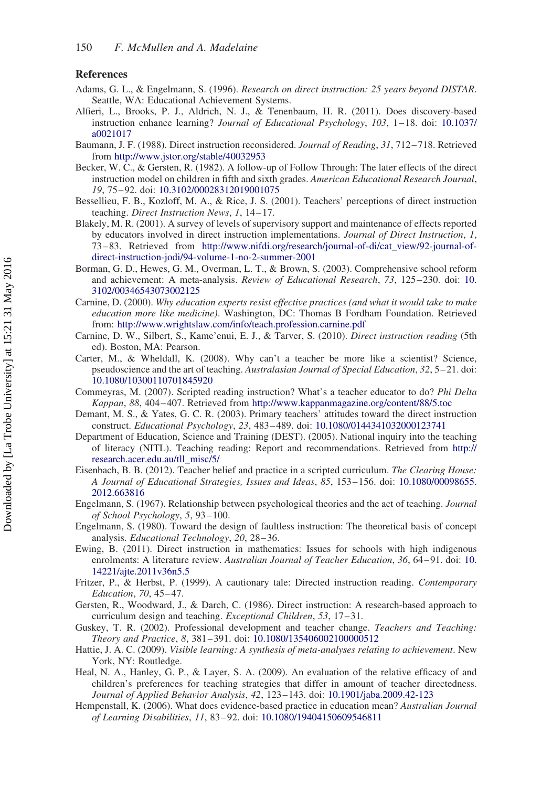### <span id="page-13-0"></span>References

- Adams, G. L., & Engelmann, S. (1996). Research on direct instruction: 25 years beyond DISTAR. Seattle, WA: Educational Achievement Systems.
- Alfieri, L., Brooks, P. J., Aldrich, N. J., & Tenenbaum, H. R. (2011). Does discovery-based instruction enhance learning? Journal of Educational Psychology, 103, 1–18. doi: [10.1037/](http://dx.doi.org/10.1037/a0021017) [a0021017](http://dx.doi.org/10.1037/a0021017)
- Baumann, J. F. (1988). Direct instruction reconsidered. Journal of Reading, 31, 712– 718. Retrieved from <http://www.jstor.org/stable/40032953>
- Becker, W. C., & Gersten, R. (1982). A follow-up of Follow Through: The later effects of the direct instruction model on children in fifth and sixth grades. American Educational Research Journal, 19, 75 – 92. doi: [10.3102/00028312019001075](http://dx.doi.org/10.3102/00028312019001075)
- Bessellieu, F. B., Kozloff, M. A., & Rice, J. S. (2001). Teachers' perceptions of direct instruction teaching. Direct Instruction News, 1, 14–17.
- Blakely, M. R. (2001). A survey of levels of supervisory support and maintenance of effects reported by educators involved in direct instruction implementations. Journal of Direct Instruction, 1, 73 – 83. Retrieved from [http://www.nifdi.org/research/journal-of-di/cat\\_view/92-journal-of](http://www.nifdi.org/research/journal-of-di/cat_view/92-journal-of-direct-instruction-jodi/94-volume-1-no-2-summer-2001)[direct-instruction-jodi/94-volume-1-no-2-summer-2001](http://www.nifdi.org/research/journal-of-di/cat_view/92-journal-of-direct-instruction-jodi/94-volume-1-no-2-summer-2001)
- Borman, G. D., Hewes, G. M., Overman, L. T., & Brown, S. (2003). Comprehensive school reform and achievement: A meta-analysis. Review of Educational Research, 73, 125–230. doi: [10.](http://dx.doi.org/10.3102/00346543073002125) [3102/00346543073002125](http://dx.doi.org/10.3102/00346543073002125)
- Carnine, D. (2000). Why education experts resist effective practices (and what it would take to make education more like medicine). Washington, DC: Thomas B Fordham Foundation. Retrieved from: <http://www.wrightslaw.com/info/teach.profession.carnine.pdf>
- Carnine, D. W., Silbert, S., Kame'enui, E. J., & Tarver, S. (2010). Direct instruction reading (5th ed). Boston, MA: Pearson.
- Carter, M., & Wheldall, K. (2008). Why can't a teacher be more like a scientist? Science, pseudoscience and the art of teaching. Australasian Journal of Special Education, 32, 5 – 21. doi: [10.1080/10300110701845920](http://dx.doi.org/10.1080/10300110701845920)
- Commeyras, M. (2007). Scripted reading instruction? What's a teacher educator to do? Phi Delta Kappan, 88, 404– 407. Retrieved from <http://www.kappanmagazine.org/content/88/5.toc>
- Demant, M. S., & Yates, G. C. R. (2003). Primary teachers' attitudes toward the direct instruction construct. Educational Psychology, 23, 483– 489. doi: [10.1080/0144341032000123741](http://dx.doi.org/10.1080/0144341032000123741)
- Department of Education, Science and Training (DEST). (2005). National inquiry into the teaching of literacy (NITL). Teaching reading: Report and recommendations. Retrieved from [http://](http://research.acer.edu.au/tll_misc/5/) [research.acer.edu.au/tll\\_misc/5/](http://research.acer.edu.au/tll_misc/5/)
- Eisenbach, B. B. (2012). Teacher belief and practice in a scripted curriculum. The Clearing House: A Journal of Educational Strategies, Issues and Ideas, 85, 153– 156. doi: [10.1080/00098655.](http://dx.doi.org/10.1080/00098655.2012.663816) [2012.663816](http://dx.doi.org/10.1080/00098655.2012.663816)
- Engelmann, S. (1967). Relationship between psychological theories and the act of teaching. Journal of School Psychology, 5, 93 – 100.
- Engelmann, S. (1980). Toward the design of faultless instruction: The theoretical basis of concept analysis. Educational Technology, 20, 28-36.
- Ewing, B. (2011). Direct instruction in mathematics: Issues for schools with high indigenous enrolments: A literature review. Australian Journal of Teacher Education, 36, 64-91. doi: [10.](http://dx.doi.org/10.14221/ajte.2011v36n5.5) [14221/ajte.2011v36n5.5](http://dx.doi.org/10.14221/ajte.2011v36n5.5)
- Fritzer, P., & Herbst, P. (1999). A cautionary tale: Directed instruction reading. Contemporary Education, 70, 45 – 47.
- Gersten, R., Woodward, J., & Darch, C. (1986). Direct instruction: A research-based approach to curriculum design and teaching. Exceptional Children, 53, 17–31.
- Guskey, T. R. (2002). Professional development and teacher change. Teachers and Teaching: Theory and Practice, 8, 381– 391. doi: [10.1080/135406002100000512](http://dx.doi.org/10.1080/135406002100000512)
- Hattie, J. A. C. (2009). Visible learning: A synthesis of meta-analyses relating to achievement. New York, NY: Routledge.
- Heal, N. A., Hanley, G. P., & Layer, S. A. (2009). An evaluation of the relative efficacy of and children's preferences for teaching strategies that differ in amount of teacher directedness. Journal of Applied Behavior Analysis, 42, 123–143. doi: [10.1901/jaba.2009.42-123](http://dx.doi.org/10.1901/jaba.2009.42-123)
- Hempenstall, K. (2006). What does evidence-based practice in education mean? Australian Journal of Learning Disabilities, 11, 83 – 92. doi: [10.1080/19404150609546811](http://dx.doi.org/10.1080/19404150609546811)